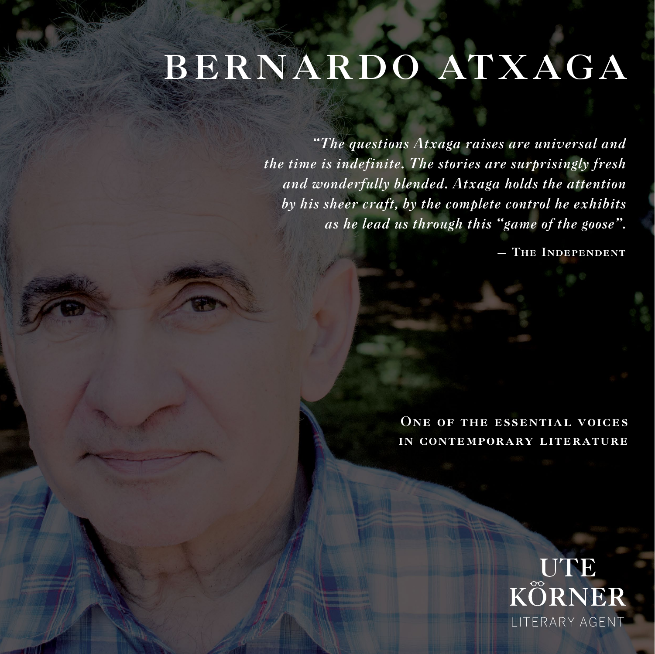## BERNARDO ATXAGA

*"The questions Atxaga raises are universal and the time is indefinite. The stories are surprisingly fresh and wonderfully blended. Atxaga holds the attention by his sheer craft, by the complete control he exhibits as he lead us through this "game of the goose".*

— The Independent

ONE OF THE ESSENTIAL VOICES in contemporary literature